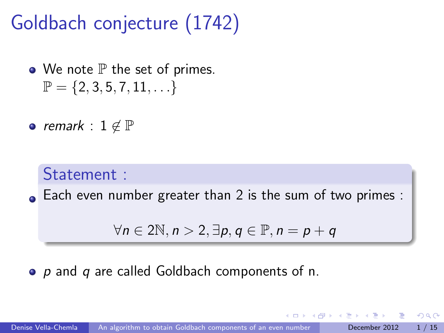# Goldbach conjecture (1742)

- $\bullet$  We note  $\mathbb P$  the set of primes.  $\mathbb{P} = \{2, 3, 5, 7, 11, \ldots\}$
- remark :  $1 \notin \mathbb{P}$

#### Statement :

Each even number greater than 2 is the sum of two primes :

<span id="page-0-0"></span>
$$
\forall n \in 2\mathbb{N}, n > 2, \exists p, q \in \mathbb{P}, n = p + q
$$

#### <span id="page-0-1"></span> $\bullet$  p and q are called Goldbach components of n.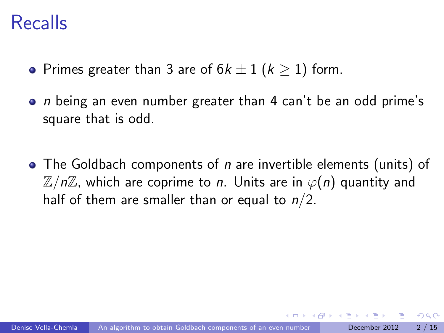#### Recalls

- Primes greater than 3 are of  $6k \pm 1$  ( $k > 1$ ) form.
- $\bullet$  n being an even number greater than 4 can't be an odd prime's square that is odd.
- $\bullet$  The Goldbach components of *n* are invertible elements (units) of  $\mathbb{Z}/n\mathbb{Z}$ , which are coprime to *n*. Units are in  $\varphi(n)$  quantity and half of them are smaller than or equal to  $n/2$ .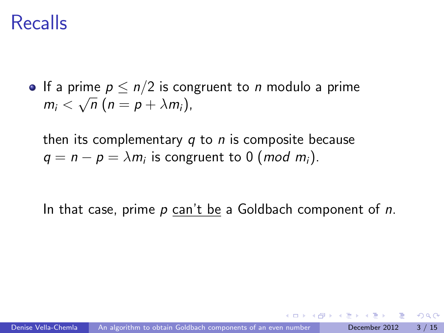#### Recalls

If a prime  $p \leq n/2$  is congruent to *n* modulo a prime  $m_i < \sqrt{n} (n = p + \lambda m_i),$ 

then its complementary  $q$  to  $n$  is composite because  $q = n - p = \lambda m_i$  is congruent to 0 (*mod m<sub>i</sub>*).

In that case, prime  $p$  can't be a Goldbach component of  $n$ .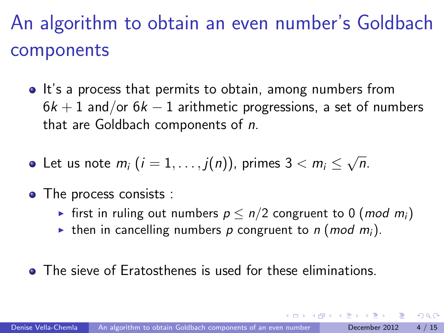# An algorithm to obtain an even number's Goldbach components

- It's a process that permits to obtain, among numbers from  $6k + 1$  and/or  $6k - 1$  arithmetic progressions, a set of numbers that are Goldbach components of n.
- Let us note  $m_i$   $(i=1,\ldots,j(n))$ , primes  $3 < m_i \leq$ √ n.
- The process consists :
	- First in ruling out numbers  $p \le n/2$  congruent to 0 (*mod m<sub>i</sub>*)
	- In then in cancelling numbers p congruent to n (mod m<sub>i</sub>).
- **•** The sieve of Eratosthenes is used for these eliminations.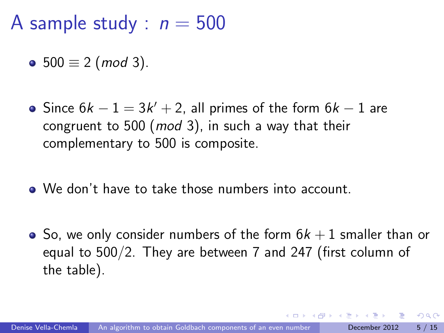A sample study :  $n = 500$ 

• 500  $\equiv$  2 (mod 3).

- Since  $6k-1=3k'+2$ , all primes of the form  $6k-1$  are congruent to 500 ( $mod$  3), in such a way that their complementary to 500 is composite.
- We don't have to take those numbers into account.
- So, we only consider numbers of the form  $6k+1$  smaller than or equal to 500/2. They are between 7 and 247 (first column of the table).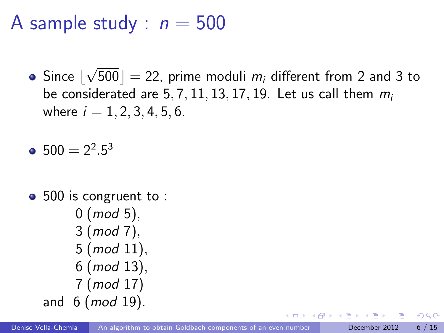A sample study :  $n = 500$ 

Since  $\lfloor$ √ 500]  $=$  22, prime moduli  $m_i$  different from 2 and 3 to be considerated are 5, 7, 11, 13, 17, 19. Let us call them  $m_i$ where  $i = 1, 2, 3, 4, 5, 6$ .

 $500 = 2^2.5^3$ 

• 500 is congruent to :  $0 \ (mod \ 5),$ 3 (mod 7), 5 (mod 11), 6 (mod 13), 7 (mod 17) and  $6 \ (mod 19)$ .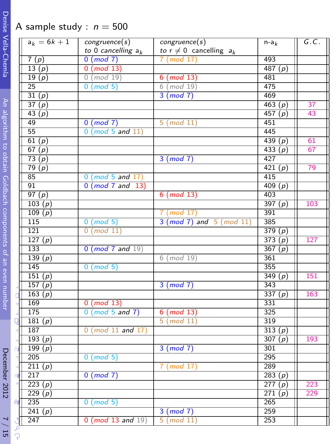#### A sample study :  $n = 500$

|                                                              |               | $a_k = 6k + 1$ | congruence(s)            | congruence(s)                  | $n-a_k$       | G.C. |
|--------------------------------------------------------------|---------------|----------------|--------------------------|--------------------------------|---------------|------|
|                                                              |               |                | to 0 cancelling $a_k$    | to $r \neq 0$ cancelling $a_k$ |               |      |
| Vella-Chemla                                                 |               | 7(p)           | $0 \pmod{7}$             | $7 \pmod{17}$                  | 493           |      |
|                                                              |               | 13(p)          | $0 \pmod{13}$            |                                | 487 $(p)$     |      |
|                                                              |               | 19(p)          | $0 \pmod{19}$            | $6 \pmod{13}$                  | 481           |      |
|                                                              |               | 25             | $0 \pmod{5}$             | $6 \pmod{19}$                  | 475           |      |
|                                                              |               | 31(p)          |                          | 3 (mod 7)                      | 469           |      |
|                                                              |               | 37(p)          |                          |                                | 463 $(p)$     | 37   |
|                                                              |               | 43(p)          |                          |                                | 457 $(p)$     | 43   |
|                                                              |               | 49             | $0 \pmod{7}$             | $5 \pmod{11}$                  | 451           |      |
|                                                              |               | 55             | $0 \pmod{5}$ and $11$    |                                | 445           |      |
|                                                              |               | 61(p)          |                          |                                | 439 $(p)$     | 61   |
|                                                              |               | 67(p)          |                          |                                | 433(p)        | 67   |
|                                                              |               |                |                          |                                | 427           |      |
|                                                              |               | 73(p)          |                          | $3 \pmod{7}$                   |               |      |
|                                                              |               | 79(p)<br>85    |                          |                                | 421(p)<br>415 | 79   |
|                                                              |               |                | $0 \pmod{5}$ and $17$ )  |                                |               |      |
|                                                              |               | 91             | $0 \pmod{7}$ and $13$    |                                | 409 $(p)$     |      |
| An algorithm to obtain Goldbach components of an even number |               | 97(p)          |                          | $6 \pmod{13}$                  | 403           |      |
|                                                              |               | 103(p)         |                          |                                | 397(p)        | 103  |
|                                                              |               | 109(p)         |                          | $7 \pmod{17}$                  | 391           |      |
|                                                              |               | 115            | $0 \pmod{5}$             | $3 (mod 7)$ and $5 (mod 11)$   | 385           |      |
|                                                              |               | 121            | $0 \pmod{11}$            |                                | 379(p)        |      |
|                                                              |               | 127 $(p)$      |                          |                                | 373(p)        | 127  |
|                                                              |               | 133            | $0 \pmod{7}$ and $19$    |                                | 367(p)        |      |
|                                                              |               | 139(p)         |                          | $6 \pmod{19}$                  | 361           |      |
|                                                              |               | 145            | $0 \pmod{5}$             |                                | 355           |      |
|                                                              |               | 151(p)         |                          |                                | 349(p)        | 151  |
|                                                              |               | 157 $(p)$      |                          | 3 (mod 7)                      | 343           |      |
|                                                              |               | 163 $(p)$      |                          |                                | 337 $(p)$     | 163  |
|                                                              |               | 169            | $0 \pmod{13}$            |                                | 331           |      |
| December 2012                                                |               | 175            | $0 \pmod{5}$ and $7$ )   | $6 \pmod{13}$                  | 325           |      |
|                                                              |               | 181 $(p)$      |                          | $5 \pmod{11}$                  | 319           |      |
|                                                              |               | 187            | $0 \pmod{11}$ and $17$   |                                | 313(p)        |      |
|                                                              |               | 193(p)         |                          |                                | 307 $(p)$     | 193  |
|                                                              |               | 199 $(p)$      |                          | $3 \pmod{7}$                   | 301           |      |
|                                                              |               | 205            | $0 \pmod{5}$             |                                | 295           |      |
|                                                              |               | 211(p)         |                          | 7 (mod 17)                     | 289           |      |
|                                                              |               | 217            | $0 \pmod{7}$             |                                | 283 $(p)$     |      |
|                                                              |               | 223(p)         |                          |                                | 277(p)        | 223  |
|                                                              |               | 229 $(p)$      |                          |                                | 271(p)        | 229  |
|                                                              | du.           | 235            | $0 \pmod{5}$             |                                | 265           |      |
|                                                              |               | 241(p)         |                          | $3 \pmod{7}$                   | 259           |      |
|                                                              |               | 247            | $0 \pmod{13}$ and $19$ ) | $5 \pmod{11}$                  | 253           |      |
|                                                              |               |                |                          |                                |               |      |
| $\frac{15}{15}$                                              | $\mathcal{Q}$ |                |                          |                                |               |      |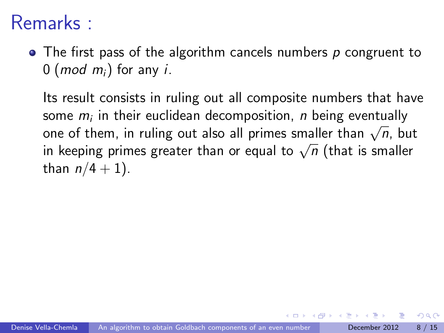### Remarks :

 $\bullet$  The first pass of the algorithm cancels numbers p congruent to 0 (*mod m<sub>i</sub>*) for any *i*.

Its result consists in ruling out all composite numbers that have some  $m_i$  in their euclidean decomposition,  $\emph{n}$  being eventually some  $m_i$  in their euclidean decomposition, *n* being eventually one of them, in ruling out also all primes smaller than  $\sqrt{n}$ , but one or them, in runng out also an primes smaller than  $\sqrt{n}$ , but<br>in keeping primes greater than or equal to  $\sqrt{n}$  (that is smaller than  $n/4 + 1$ ).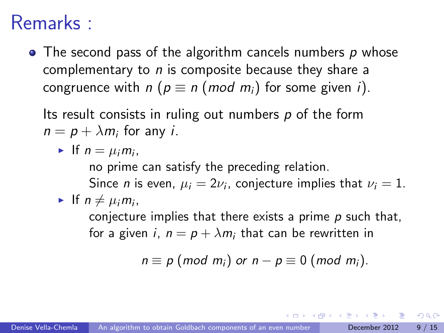#### Remarks :

 $\bullet$  The second pass of the algorithm cancels numbers p whose complementary to  $n$  is composite because they share a congruence with  $n (p \equiv n (mod m_i)$  for some given i).

Its result consists in ruling out numbers  $p$  of the form  $n = p + \lambda m_i$  for any *i*.

If  $n = \mu_i m_i$ ,

no prime can satisfy the preceding relation.

Since *n* is even,  $\mu_i = 2\nu_i$ , conjecture implies that  $\nu_i = 1$ . If  $n \neq \mu_i m_i$ ,

conjecture implies that there exists a prime  $p$  such that, for a given i,  $n = p + \lambda m_i$  that can be rewritten in

$$
n \equiv p \ (mod \ m_i) \ or \ n-p \equiv 0 \ (mod \ m_i).
$$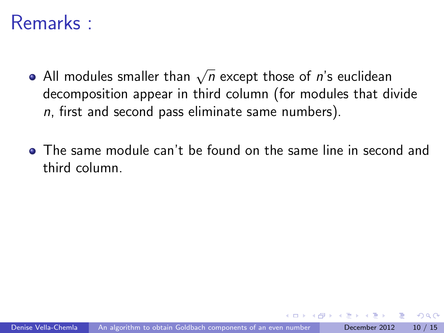#### Remarks :

- All modules smaller than  $\sqrt{n}$  except those of  $\vec{n}$ 's euclidean decomposition appear in third column (for modules that divide  $n$ , first and second pass eliminate same numbers).
- The same module can't be found on the same line in second and third column.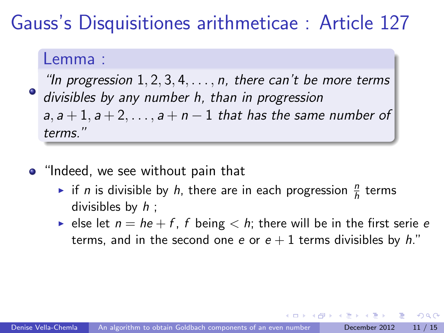### Gauss's Disquisitiones arithmeticae : Article 127

#### Lemma :

"In progression  $1, 2, 3, 4, \ldots, n$ , there can't be more terms divisibles by any number h, than in progression  $a, a+1, a+2, \ldots, a+n-1$  that has the same number of terms."

- "Indeed, we see without pain that
	- if *n* is divisible by *h*, there are in each progression  $\frac{n}{h}$  terms divisibles by  $h$ ;
	- lum else let  $n = he + f$ , f being  $\lt h$ ; there will be in the first serie e terms, and in the second one e or  $e + 1$  terms divisibles by h."

つへへ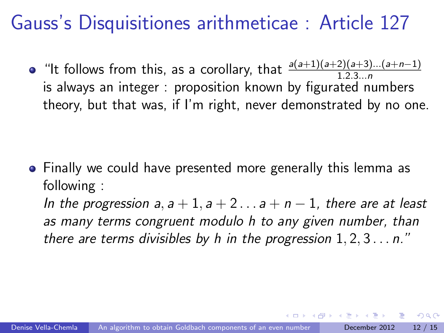### Gauss's Disquisitiones arithmeticae : Article 127

"It follows from this, as a corollary, that  $\frac{a(a+1)(a+2)(a+3)...(a+n-1)}{1.2.3...n}$ is always an integer : proposition known by figurated numbers theory, but that was, if I'm right, never demonstrated by no one.

Finally we could have presented more generally this lemma as following :

In the progression  $a, a+1, a+2... a+n-1$ , there are at least as many terms congruent modulo h to any given number, than there are terms divisibles by h in the progression  $1, 2, 3...$  n."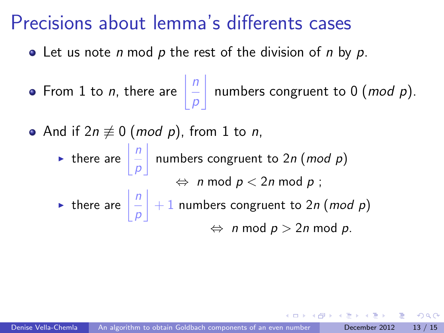### Precisions about lemma's differents cases

- Let us note *n* mod  $p$  the rest of the division of *n* by  $p$ .
- From 1 to *n*, there are  $\frac{n}{2}$ p  $\mathbf{I}$ numbers congruent to  $0 \ (mod \ p).$
- And if  $2n \not\equiv 0 \pmod{p}$ , from 1 to *n*,
	- If there are  $\frac{n}{2}$ p numbers congruent to  $2n$  (mod p)  $\Leftrightarrow$  n mod  $p < 2n$  mod  $p$  ; If there are  $\frac{n}{2}$ p  $+ 1$  numbers congruent to 2n (mod p)  $\Leftrightarrow$  n mod  $p > 2n$  mod p.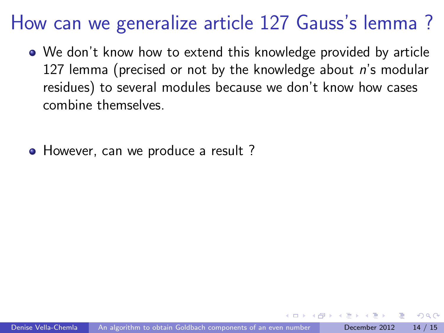## How can we generalize article 127 Gauss's lemma ?

- We don't know how to extend this knowledge provided by article 127 lemma (precised or not by the knowledge about  $n$ 's modular residues) to several modules because we don't know how cases combine themselves.
- However, can we produce a result?

∽≏